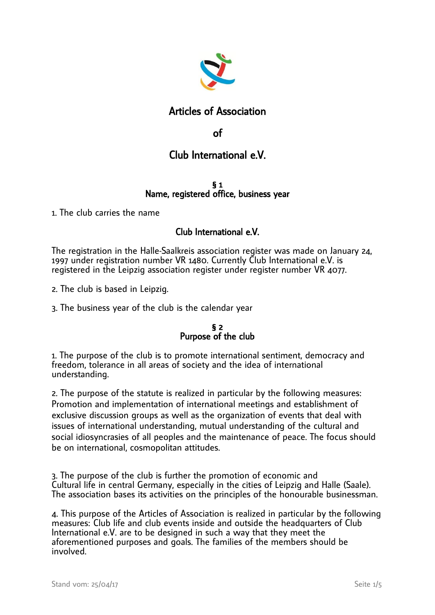

## Articles of Association

## of

# Club International e.V.

### § 1 Name, registered office, business year

1. The club carries the name

## Club International e.V.

The registration in the Halle-Saalkreis association register was made on January 24, 1997 under registration number VR 1480. Currently Club International e.V. is registered in the Leipzig association register under register number VR 4077.

2. The club is based in Leipzig.

3. The business year of the club is the calendar year

## § 2 Purpose of the club

1. The purpose of the club is to promote international sentiment, democracy and freedom, tolerance in all areas of society and the idea of international understanding.

2. The purpose of the statute is realized in particular by the following measures: Promotion and implementation of international meetings and establishment of exclusive discussion groups as well as the organization of events that deal with issues of international understanding, mutual understanding of the cultural and social idiosyncrasies of all peoples and the maintenance of peace. The focus should be on international, cosmopolitan attitudes.

3. The purpose of the club is further the promotion of economic and Cultural life in central Germany, especially in the cities of Leipzig and Halle (Saale). The association bases its activities on the principles of the honourable businessman.

4. This purpose of the Articles of Association is realized in particular by the following measures: Club life and club events inside and outside the headquarters of Club International e.V. are to be designed in such a way that they meet the aforementioned purposes and goals. The families of the members should be involved.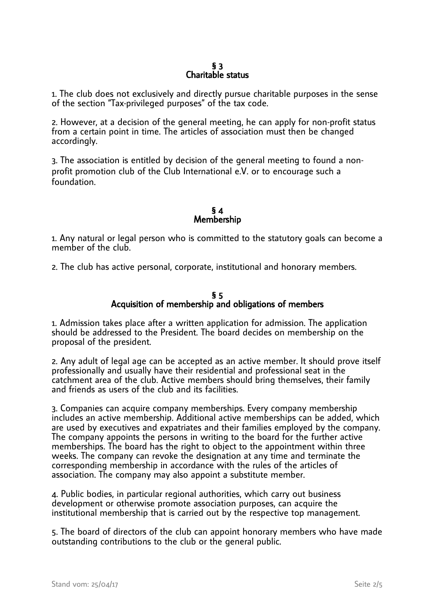## § 3 Charitable status

1. The club does not exclusively and directly pursue charitable purposes in the sense of the section "Tax-privileged purposes" of the tax code.

2. However, at a decision of the general meeting, he can apply for non-profit status from a certain point in time. The articles of association must then be changed accordingly.

3. The association is entitled by decision of the general meeting to found a nonprofit promotion club of the Club International e.V. or to encourage such a foundation.

## § 4 Membership

1. Any natural or legal person who is committed to the statutory goals can become a member of the club.

2. The club has active personal, corporate, institutional and honorary members.

## § 5 Acquisition of membership and obligations of members

1. Admission takes place after a written application for admission. The application should be addressed to the President. The board decides on membership on the proposal of the president.

2. Any adult of legal age can be accepted as an active member. It should prove itself professionally and usually have their residential and professional seat in the catchment area of the club. Active members should bring themselves, their family and friends as users of the club and its facilities.

3. Companies can acquire company memberships. Every company membership includes an active membership. Additional active memberships can be added, which are used by executives and expatriates and their families employed by the company. The company appoints the persons in writing to the board for the further active memberships. The board has the right to object to the appointment within three weeks. The company can revoke the designation at any time and terminate the corresponding membership in accordance with the rules of the articles of association. The company may also appoint a substitute member.

4. Public bodies, in particular regional authorities, which carry out business development or otherwise promote association purposes, can acquire the institutional membership that is carried out by the respective top management.

5. The board of directors of the club can appoint honorary members who have made outstanding contributions to the club or the general public.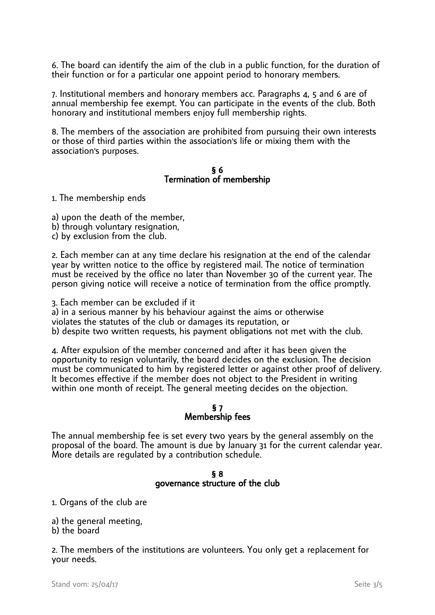6. The board can identify the aim of the club in a public function, for the duration of their function or for a particular one appoint period to honorary members.

7. Institutional members and honorary members acc. Paragraphs 4, 5 and 6 are of annual membership fee exempt. You can participate in the events of the club. Both honorary and institutional members enjoy full membership rights.

8. The members of the association are prohibited from pursuing their own interests or those of third parties within the association's life or mixing them with the association's purposes.

#### § 6 Termination of membership

1. The membership ends

- a) upon the death of the member,
- b) through voluntary resignation,
- c) by exclusion from the club.

2. Each member can at any time declare his resignation at the end of the calendar year by written notice to the office by registered mail. The notice of termination must be received by the office no later than November 30 of the current year. The person giving notice will receive a notice of termination from the office promptly.

3. Each member can be excluded if it a) in a serious manner by his behaviour against the aims or otherwise violates the statutes of the club or damages its reputation, or b) despite two written requests, his payment obligations not met with the club.

4. After expulsion of the member concerned and after it has been given the opportunity to resign voluntarily, the board decides on the exclusion. The decision must be communicated to him by registered letter or against other proof of delivery. It becomes effective if the member does not object to the President in writing within one month of receipt. The general meeting decides on the objection.

#### § 7 Membership fees

The annual membership fee is set every two years by the general assembly on the proposal of the board. The amount is due by January 31 for the current calendar year. More details are regulated by a contribution schedule.

## § 8 governance structure of the club

1. Organs of the club are

a) the general meeting,

b) the board

2. The members of the institutions are volunteers. You only get a replacement for your needs.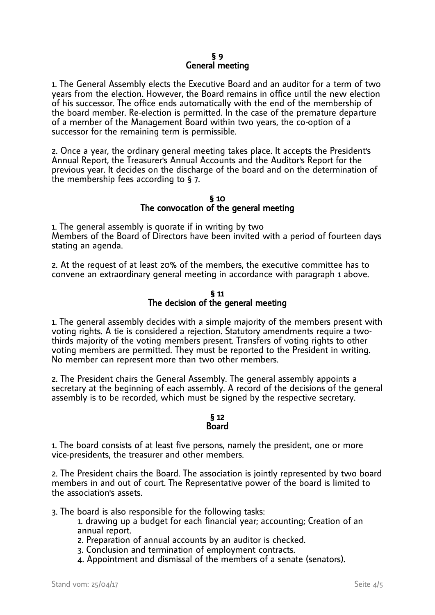1. The General Assembly elects the Executive Board and an auditor for a term of two years from the election. However, the Board remains in office until the new election of his successor. The office ends automatically with the end of the membership of the board member. Re-election is permitted. In the case of the premature departure of a member of the Management Board within two years, the co-option of a successor for the remaining term is permissible.

2. Once a year, the ordinary general meeting takes place. It accepts the President's Annual Report, the Treasurer's Annual Accounts and the Auditor's Report for the previous year. It decides on the discharge of the board and on the determination of the membership fees according to § 7.

### § 10 The convocation of the general meeting

1. The general assembly is quorate if in writing by two Members of the Board of Directors have been invited with a period of fourteen days stating an agenda.

2. At the request of at least 20% of the members, the executive committee has to convene an extraordinary general meeting in accordance with paragraph 1 above.

## § 11 The decision of the general meeting

1. The general assembly decides with a simple majority of the members present with voting rights. A tie is considered a rejection. Statutory amendments require a twothirds majority of the voting members present. Transfers of voting rights to other voting members are permitted. They must be reported to the President in writing. No member can represent more than two other members.

2. The President chairs the General Assembly. The general assembly appoints a secretary at the beginning of each assembly. A record of the decisions of the general assembly is to be recorded, which must be signed by the respective secretary.

#### § 12 Board

1. The board consists of at least five persons, namely the president, one or more vice-presidents, the treasurer and other members.

2. The President chairs the Board. The association is jointly represented by two board members in and out of court. The Representative power of the board is limited to the association's assets.

3. The board is also responsible for the following tasks:

- 1. drawing up a budget for each financial year; accounting; Creation of an annual report.
- 2. Preparation of annual accounts by an auditor is checked.
- 3. Conclusion and termination of employment contracts.
- 4. Appointment and dismissal of the members of a senate (senators).